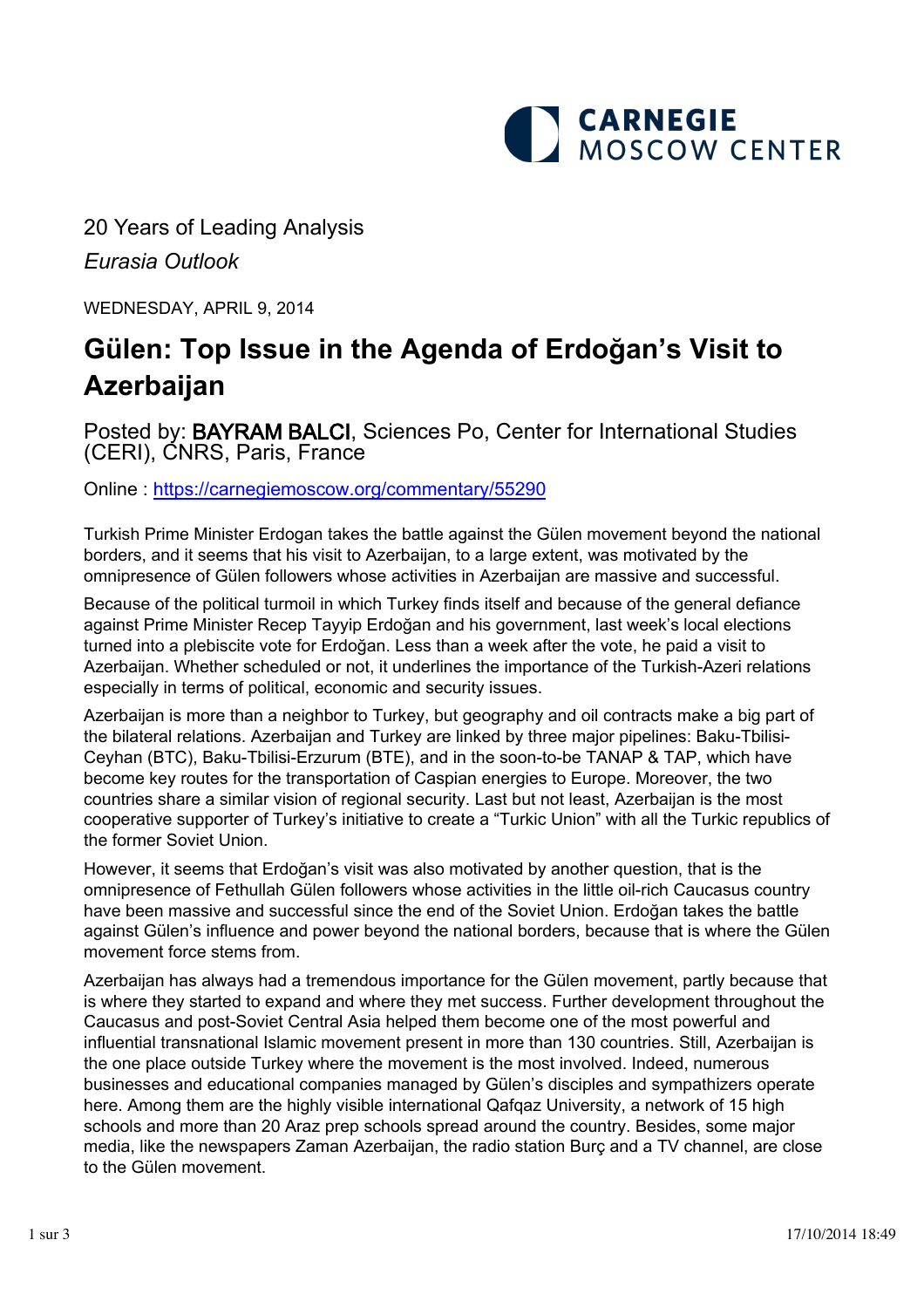

20 Years of Leading Analysis *Eurasia Outlook*

WEDNESDAY, APRIL 9, 2014

## **Gülen: Top Issue in the Agenda of Erdoğan's Visit to Azerbaijan**

Posted by: BAYRAM BALCI, Sciences Po, Center for International Studies (CERI), CNRS, Paris, France

Online : [https://carnegiemoscow.org/commentary/](https://carnegiemoscow.org/commentary/55290)55290

Turkish Prime Minister Erdogan takes the battle against the Gülen movement beyond the national borders, and it seems that his visit to Azerbaijan, to a large extent, was motivated by the omnipresence of Gülen followers whose activities in Azerbaijan are massive and successful.

Because of the political turmoil in which Turkey finds itself and because of the general defiance against Prime Minister Recep Tayyip Erdoğan and his government, last week's local elections turned into a plebiscite vote for Erdoğan. Less than a week after the vote, he paid a visit to Azerbaijan. Whether scheduled or not, it underlines the importance of the Turkish-Azeri relations especially in terms of political, economic and security issues.

Azerbaijan is more than a neighbor to Turkey, but geography and oil contracts make a big part of the bilateral relations. Azerbaijan and Turkey are linked by three major pipelines: Baku-Tbilisi-Ceyhan (BTC), Baku-Tbilisi-Erzurum (BTE), and in the soon-to-be TANAP & TAP, which have become key routes for the transportation of Caspian energies to Europe. Moreover, the two countries share a similar vision of regional security. Last but not least, Azerbaijan is the most cooperative supporter of Turkey's initiative to create a "Turkic Union" with all the Turkic republics of the former Soviet Union.

However, it seems that Erdoğan's visit was also motivated by another question, that is the omnipresence of Fethullah Gülen followers whose activities in the little oil-rich Caucasus country have been massive and successful since the end of the Soviet Union. Erdoğan takes the battle against Gülen's influence and power beyond the national borders, because that is where the Gülen movement force stems from.

Azerbaijan has always had a tremendous importance for the Gülen movement, partly because that is where they started to expand and where they met success. Further development throughout the Caucasus and post-Soviet Central Asia helped them become one of the most powerful and influential transnational Islamic movement present in more than 130 countries. Still, Azerbaijan is the one place outside Turkey where the movement is the most involved. Indeed, numerous businesses and educational companies managed by Gülen's disciples and sympathizers operate here. Among them are the highly visible international Qafqaz University, a network of 15 high schools and more than 20 Araz prep schools spread around the country. Besides, some major media, like the newspapers Zaman Azerbaijan, the radio station Burç and a TV channel, are close to the Gülen movement.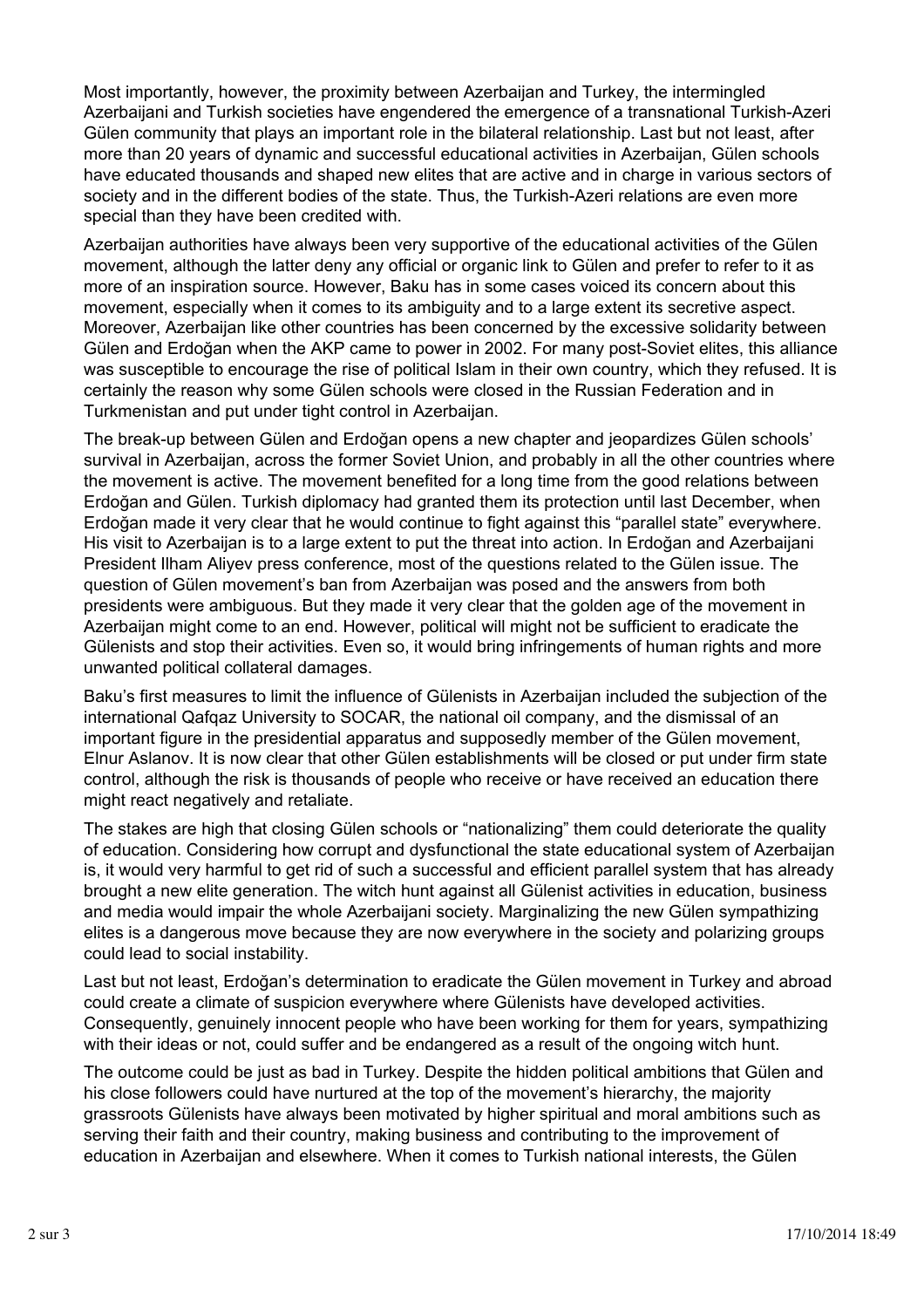Most importantly, however, the proximity between Azerbaijan and Turkey, the intermingled Azerbaijani and Turkish societies have engendered the emergence of a transnational Turkish-Azeri Gülen community that plays an important role in the bilateral relationship. Last but not least, after more than 20 years of dynamic and successful educational activities in Azerbaijan, Gülen schools have educated thousands and shaped new elites that are active and in charge in various sectors of society and in the different bodies of the state. Thus, the Turkish-Azeri relations are even more special than they have been credited with.

Azerbaijan authorities have always been very supportive of the educational activities of the Gülen movement, although the latter deny any official or organic link to Gülen and prefer to refer to it as more of an inspiration source. However, Baku has in some cases voiced its concern about this movement, especially when it comes to its ambiguity and to a large extent its secretive aspect. Moreover, Azerbaijan like other countries has been concerned by the excessive solidarity between Gülen and Erdoğan when the AKP came to power in 2002. For many post-Soviet elites, this alliance was susceptible to encourage the rise of political Islam in their own country, which they refused. It is certainly the reason why some Gülen schools were closed in the Russian Federation and in Turkmenistan and put under tight control in Azerbaijan.

The break-up between Gülen and Erdoğan opens a new chapter and jeopardizes Gülen schools' survival in Azerbaijan, across the former Soviet Union, and probably in all the other countries where the movement is active. The movement benefited for a long time from the good relations between Erdoğan and Gülen. Turkish diplomacy had granted them its protection until last December, when Erdoğan made it very clear that he would continue to fight against this "parallel state" everywhere. His visit to Azerbaijan is to a large extent to put the threat into action. In Erdoğan and Azerbaijani President Ilham Aliyev press conference, most of the questions related to the Gülen issue. The question of Gülen movement's ban from Azerbaijan was posed and the answers from both presidents were ambiguous. But they made it very clear that the golden age of the movement in Azerbaijan might come to an end. However, political will might not be sufficient to eradicate the Gülenists and stop their activities. Even so, it would bring infringements of human rights and more unwanted political collateral damages.

Baku's first measures to limit the influence of Gülenists in Azerbaijan included the subjection of the international Qafqaz University to SOCAR, the national oil company, and the dismissal of an important figure in the presidential apparatus and supposedly member of the Gülen movement, Elnur Aslanov. It is now clear that other Gülen establishments will be closed or put under firm state control, although the risk is thousands of people who receive or have received an education there might react negatively and retaliate.

The stakes are high that closing Gülen schools or "nationalizing" them could deteriorate the quality of education. Considering how corrupt and dysfunctional the state educational system of Azerbaijan is, it would very harmful to get rid of such a successful and efficient parallel system that has already brought a new elite generation. The witch hunt against all Gülenist activities in education, business and media would impair the whole Azerbaijani society. Marginalizing the new Gülen sympathizing elites is a dangerous move because they are now everywhere in the society and polarizing groups could lead to social instability.

Last but not least, Erdoğan's determination to eradicate the Gülen movement in Turkey and abroad could create a climate of suspicion everywhere where Gülenists have developed activities. Consequently, genuinely innocent people who have been working for them for years, sympathizing with their ideas or not, could suffer and be endangered as a result of the ongoing witch hunt.

The outcome could be just as bad in Turkey. Despite the hidden political ambitions that Gülen and his close followers could have nurtured at the top of the movement's hierarchy, the majority grassroots Gülenists have always been motivated by higher spiritual and moral ambitions such as serving their faith and their country, making business and contributing to the improvement of education in Azerbaijan and elsewhere. When it comes to Turkish national interests, the Gülen